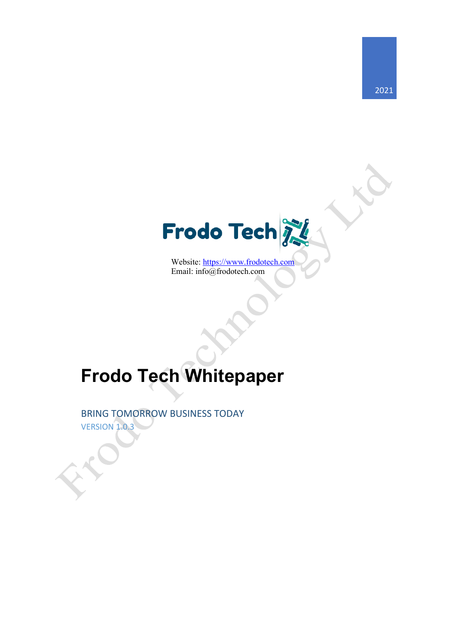# **Frodo Tech**

Website: [https://www.frodotech.com](https://www.frodotech.com/) Email: info@frodotech.com

## **Frodo Tech Whitepaper**

BRING TOMORROW BUSINESS TODAY VERSION 1.0.3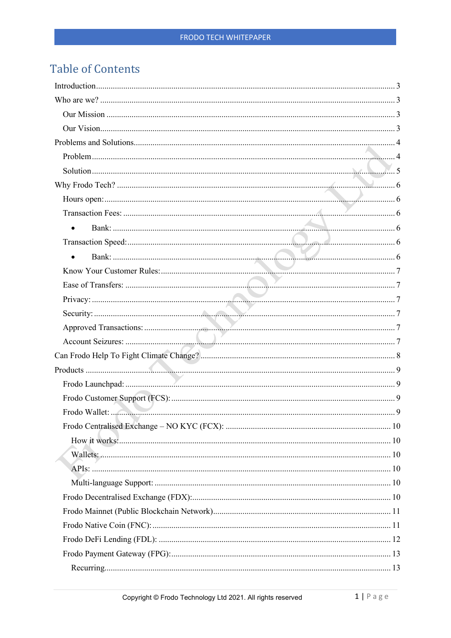## **Table of Contents**

| $\bullet$ |  |
|-----------|--|
|           |  |
| $\bullet$ |  |
|           |  |
|           |  |
|           |  |
|           |  |
|           |  |
|           |  |
|           |  |
|           |  |
|           |  |
|           |  |
|           |  |
|           |  |
|           |  |
|           |  |
|           |  |
|           |  |
|           |  |
|           |  |
|           |  |
|           |  |
|           |  |
|           |  |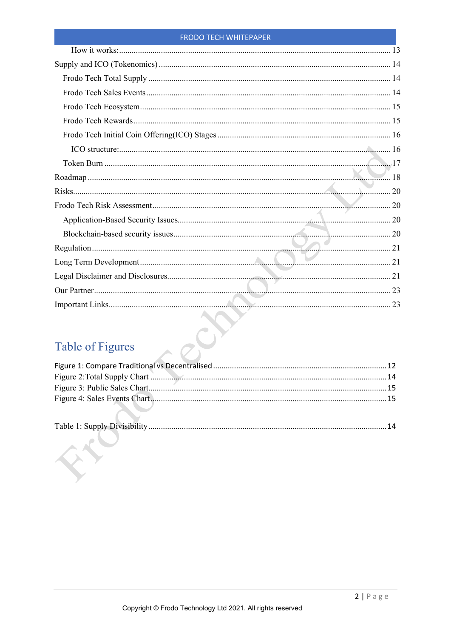## Table of Figures

| <b>Table of Figures</b> |    |
|-------------------------|----|
|                         |    |
|                         |    |
|                         | 15 |
|                         |    |
|                         |    |

|  | 14 |
|--|----|
|  |    |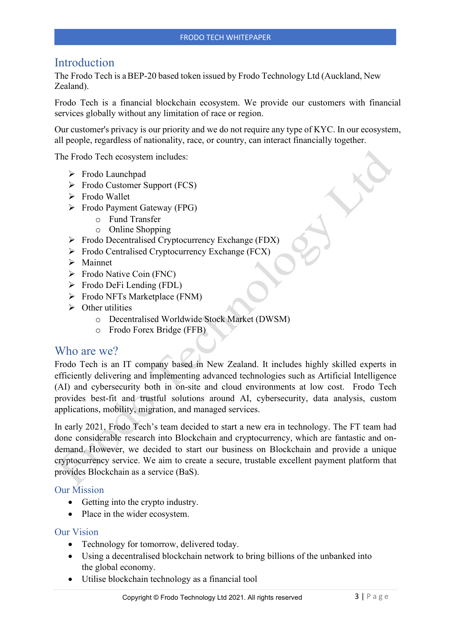## <span id="page-3-0"></span>Introduction

The Frodo Tech is a BEP-20 based token issued by Frodo Technology Ltd (Auckland, New Zealand).

Frodo Tech is a financial blockchain ecosystem. We provide our customers with financial services globally without any limitation of race or region.

Our customer's privacy is our priority and we do not require any type of KYC. In our ecosystem, all people, regardless of nationality, race, or country, can interact financially together.

The Frodo Tech ecosystem includes:

- Frodo Launchpad
- $\triangleright$  Frodo Customer Support (FCS)
- Frodo Wallet
- Frodo Payment Gateway (FPG)
	- o Fund Transfer
	- o Online Shopping
- $\triangleright$  Frodo Decentralised Cryptocurrency Exchange (FDX)
- $\triangleright$  Frodo Centralised Cryptocurrency Exchange (FCX)
- > Mainnet
- $\triangleright$  Frodo Native Coin (FNC)
- $\triangleright$  Frodo DeFi Lending (FDL)
- $\triangleright$  Frodo NFTs Marketplace (FNM)
- $\triangleright$  Other utilities
	- o Decentralised Worldwide Stock Market (DWSM)
	- o Frodo Forex Bridge (FFB)

#### <span id="page-3-1"></span>Who are we?

Frodo Tech is an IT company based in New Zealand. It includes highly skilled experts in efficiently delivering and implementing advanced technologies such as Artificial Intelligence (AI) and cybersecurity both in on-site and cloud environments at low cost. Frodo Tech provides best-fit and trustful solutions around AI, cybersecurity, data analysis, custom applications, mobility, migration, and managed services.

In early 2021, Frodo Tech's team decided to start a new era in technology. The FT team had done considerable research into Blockchain and cryptocurrency, which are fantastic and ondemand. However, we decided to start our business on Blockchain and provide a unique cryptocurrency service. We aim to create a secure, trustable excellent payment platform that provides Blockchain as a service (BaS).

#### <span id="page-3-2"></span>Our Mission

- Getting into the crypto industry.
- Place in the wider ecosystem.

#### <span id="page-3-3"></span>Our Vision

- Technology for tomorrow, delivered today.
- Using a decentralised blockchain network to bring billions of the unbanked into the global economy.
- Utilise blockchain technology as a financial tool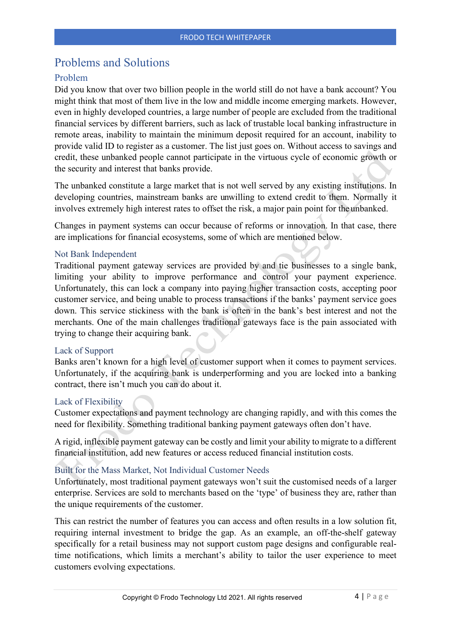## <span id="page-4-0"></span>Problems and Solutions

#### <span id="page-4-1"></span>Problem

Did you know that over two billion people in the world still do not have a bank account? You might think that most of them live in the low and middle income emerging markets. However, even in highly developed countries, a large number of people are excluded from the traditional financial services by different barriers, such as lack of trustable local banking infrastructure in remote areas, inability to maintain the minimum deposit required for an account, inability to provide valid ID to register as a customer. The list just goes on. Without access to savings and credit, these unbanked people cannot participate in the virtuous cycle of economic growth or the security and interest that banks provide.

The unbanked constitute a large market that is not well served by any existing institutions. In developing countries, mainstream banks are unwilling to extend credit to them. Normally it involves extremely high interest rates to offset the risk, a major pain point for the unbanked.

Changes in payment systems can occur because of reforms or innovation. In that case, there are implications for financial ecosystems, some of which are mentioned below.

#### Not Bank Independent

Traditional payment gateway services are provided by and tie businesses to a single bank, limiting your ability to improve performance and control your payment experience. Unfortunately, this can lock a company into paying higher transaction costs, accepting poor customer service, and being unable to process transactions if the banks' payment service goes down. This service stickiness with the bank is often in the bank's best interest and not the merchants. One of the main challenges traditional gateways face is the pain associated with trying to change their acquiring bank.

#### Lack of Support

Banks aren't known for a high level of customer support when it comes to payment services. Unfortunately, if the acquiring bank is underperforming and you are locked into a banking contract, there isn't much you can do about it.

#### Lack of Flexibility

Customer expectations and payment technology are changing rapidly, and with this comes the need for flexibility. Something traditional banking payment gateways often don't have.

A rigid, inflexible payment gateway can be costly and limit your ability to migrate to a different financial institution, add new features or access reduced financial institution costs.

#### Built for the Mass Market, Not Individual Customer Needs

Unfortunately, most traditional payment gateways won't suit the customised needs of a larger enterprise. Services are sold to merchants based on the 'type' of business they are, rather than the unique requirements of the customer.

This can restrict the number of features you can access and often results in a low solution fit, requiring internal investment to bridge the gap. As an example, an off-the-shelf gateway specifically for a retail business may not support custom page designs and configurable realtime notifications, which limits a merchant's ability to tailor the user experience to meet customers evolving expectations.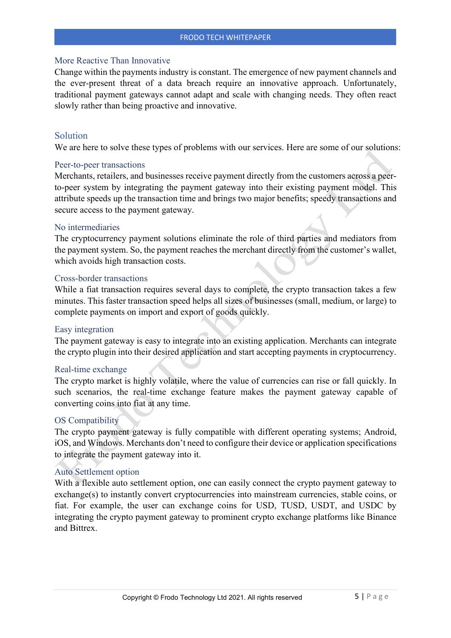#### More Reactive Than Innovative

Change within the payments industry is constant. The emergence of new payment channels and the ever-present threat of a data breach require an innovative approach. Unfortunately, traditional payment gateways cannot adapt and scale with changing needs. They often react slowly rather than being proactive and innovative.

#### <span id="page-5-0"></span>Solution

We are here to solve these types of problems with our services. Here are some of our solutions:

#### Peer-to-peer transactions

Merchants, retailers, and businesses receive payment directly from the customers across a peerto-peer system by integrating the payment gateway into their existing payment model. This attribute speeds up the transaction time and brings two major benefits; speedy transactions and secure access to the payment gateway.

#### No intermediaries

The cryptocurrency payment solutions eliminate the role of third parties and mediators from the payment system. So, the payment reaches the merchant directly from the customer's wallet, which avoids high transaction costs.

#### Cross-border transactions

While a fiat transaction requires several days to complete, the crypto transaction takes a few minutes. This faster transaction speed helps all sizes of businesses (small, medium, or large) to complete payments on import and export of goods quickly.

#### Easy integration

The payment gateway is easy to integrate into an existing application. Merchants can integrate the crypto plugin into their desired application and start accepting payments in cryptocurrency.

#### Real-time exchange

The crypto market is highly volatile, where the value of currencies can rise or fall quickly. In such scenarios, the real-time exchange feature makes the payment gateway capable of converting coins into fiat at any time.

#### OS Compatibility

The crypto payment gateway is fully compatible with different operating systems; Android, iOS, and Windows. Merchants don't need to configure their device or application specifications to integrate the payment gateway into it.

#### Auto Settlement option

With a flexible auto settlement option, one can easily connect the crypto payment gateway to exchange(s) to instantly convert cryptocurrencies into mainstream currencies, stable coins, or fiat. For example, the user can exchange coins for USD, TUSD, USDT, and USDC by integrating the crypto payment gateway to prominent crypto exchange platforms like Binance and Bittrex.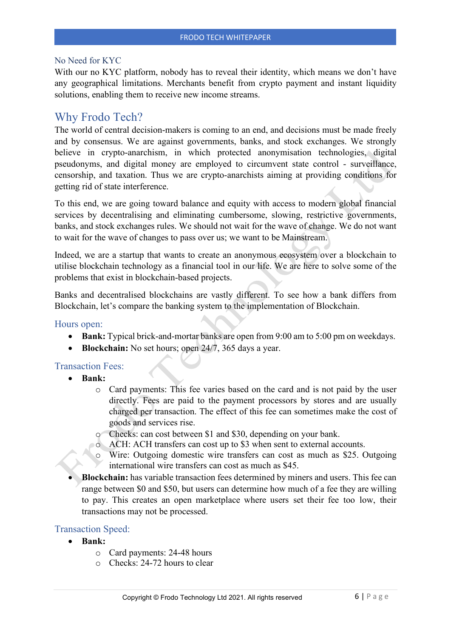#### No Need for KYC

With our no KYC platform, nobody has to reveal their identity, which means we don't have any geographical limitations. Merchants benefit from crypto payment and instant liquidity solutions, enabling them to receive new income streams.

#### <span id="page-6-0"></span>Why Frodo Tech?

The world of central decision-makers is coming to an end, and decisions must be made freely and by consensus. We are against governments, banks, and stock exchanges. We strongly believe in crypto-anarchism, in which protected anonymisation technologies, digital pseudonyms, and digital money are employed to circumvent state control - surveillance, censorship, and taxation. Thus we are crypto‐anarchists aiming at providing conditions for getting rid of state interference.

To this end, we are going toward balance and equity with access to modern global financial services by decentralising and eliminating cumbersome, slowing, restrictive governments, banks, and stock exchanges rules. We should not wait for the wave of change. We do not want to wait for the wave of changes to pass over us; we want to be Mainstream.

Indeed, we are a startup that wants to create an anonymous ecosystem over a blockchain to utilise blockchain technology as a financial tool in our life. We are here to solve some of the problems that exist in blockchain-based projects.

Banks and decentralised blockchains are vastly different. To see how a bank differs from Blockchain, let's compare the banking system to the implementation of Blockchain.

<span id="page-6-1"></span>Hours open:

- **Bank:** Typical brick-and-mortar banks are open from 9:00 am to 5:00 pm on weekdays.
- **Blockchain:** No set hours; open 24/7, 365 days a year.

#### <span id="page-6-3"></span><span id="page-6-2"></span>Transaction Fees:

- **Bank:**
	- o Card payments: This fee varies based on the card and is not paid by the user directly. Fees are paid to the payment processors by stores and are usually charged per transaction. The effect of this fee can sometimes make the cost of goods and services rise.
	- o Checks: can cost between \$1 and \$30, depending on your bank.
	- o ACH: ACH transfers can cost up to \$3 when sent to external accounts.
	- o Wire: Outgoing domestic wire transfers can cost as much as \$25. Outgoing international wire transfers can cost as much as \$45.
- **Blockchain:** has variable transaction fees determined by miners and users. This fee can range between \$0 and \$50, but users can determine how much of a fee they are willing to pay. This creates an open marketplace where users set their fee too low, their transactions may not be processed.

#### <span id="page-6-5"></span><span id="page-6-4"></span>Transaction Speed:

- **Bank:**
	- o Card payments: 24-48 hours
	- o Checks: 24-72 hours to clear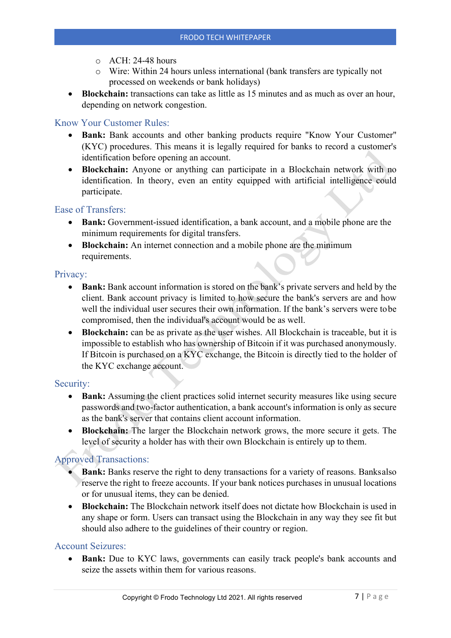- o ACH: 24-48 hours
- o Wire: Within 24 hours unless international (bank transfers are typically not processed on weekends or bank holidays)
- **Blockchain:** transactions can take as little as 15 minutes and as much as over an hour, depending on network congestion.

#### <span id="page-7-0"></span>Know Your Customer Rules:

- **Bank:** Bank accounts and other banking products require "Know Your Customer" (KYC) procedures. This means it is legally required for banks to record a customer's identification before opening an account.
- **Blockchain:** Anyone or anything can participate in a Blockchain network with no identification. In theory, even an entity equipped with artificial intelligence could participate.

#### <span id="page-7-1"></span>Ease of Transfers:

- **Bank:** Government-issued identification, a bank account, and a mobile phone are the minimum requirements for digital transfers.
- **Blockchain:** An internet connection and a mobile phone are the minimum requirements.

#### <span id="page-7-2"></span>Privacy:

- **Bank:** Bank account information is stored on the bank's private servers and held by the client. Bank account privacy is limited to how secure the bank's servers are and how well the individual user secures their own information. If the bank's servers were tobe compromised, then the individual's account would be as well.
- **Blockchain:** can be as private as the user wishes. All Blockchain is traceable, but it is impossible to establish who has ownership of Bitcoin if it was purchased anonymously. If Bitcoin is purchased on a KYC exchange, the Bitcoin is directly tied to the holder of the KYC exchange account.

#### <span id="page-7-3"></span>Security:

- **Bank:** Assuming the client practices solid internet security measures like using secure passwords and two-factor authentication, a bank account's information is only as secure as the bank's server that contains client account information.
- **Blockchain:** The larger the Blockchain network grows, the more secure it gets. The level of security a holder has with their own Blockchain is entirely up to them.

#### <span id="page-7-4"></span>Approved Transactions:

- **Bank:** Banks reserve the right to deny transactions for a variety of reasons. Banksalso reserve the right to freeze accounts. If your bank notices purchases in unusual locations or for unusual items, they can be denied.
- **Blockchain:** The Blockchain network itself does not dictate how Blockchain is used in any shape or form. Users can transact using the Blockchain in any way they see fit but should also adhere to the guidelines of their country or region.

#### <span id="page-7-5"></span>Account Seizures:

• **Bank:** Due to KYC laws, governments can easily track people's bank accounts and seize the assets within them for various reasons.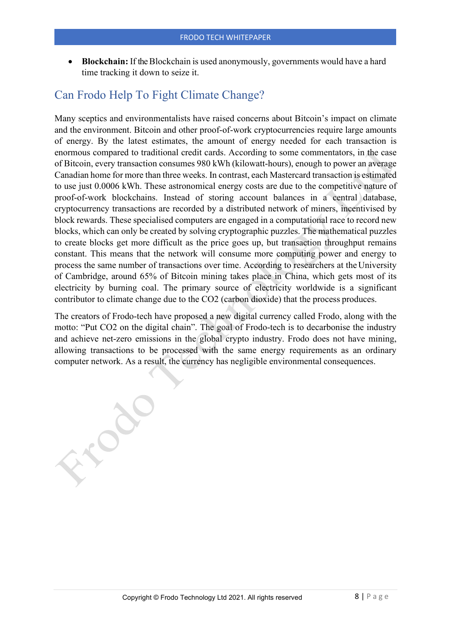• **Blockchain:** If the Blockchain is used anonymously, governments would have a hard time tracking it down to seize it.

## <span id="page-8-0"></span>Can Frodo Help To Fight Climate Change?

Many sceptics and environmentalists have raised concerns about Bitcoin's impact on climate and the environment. Bitcoin and other proof-of-work cryptocurrencies require large amounts of energy. By the latest estimates, the amount of energy needed for each transaction is enormous compared to traditional credit cards. According to some commentators, in the case of Bitcoin, every transaction consumes 980 kWh (kilowatt-hours), enough to power an average Canadian home for more than three weeks. In contrast, each Mastercard transaction is estimated to use just 0.0006 kWh. These astronomical energy costs are due to the competitive nature of proof-of-work blockchains. Instead of storing account balances in a central database, cryptocurrency transactions are recorded by a distributed network of miners, incentivised by block rewards. These specialised computers are engaged in a computational race to record new blocks, which can only be created by solving cryptographic puzzles. The mathematical puzzles to create blocks get more difficult as the price goes up, but transaction throughput remains constant. This means that the network will consume more computing power and energy to process the same number of transactions over time. According to researchers at the University of Cambridge, around 65% of Bitcoin mining takes place in China, which gets most of its electricity by burning coal. The primary source of electricity worldwide is a significant contributor to climate change due to the CO2 (carbon dioxide) that the process produces.

The creators of Frodo-tech have proposed a new digital currency called Frodo, along with the motto: "Put CO2 on the digital chain". The goal of Frodo-tech is to decarbonise the industry and achieve net-zero emissions in the global crypto industry. Frodo does not have mining, allowing transactions to be processed with the same energy requirements as an ordinary computer network. As a result, the currency has negligible environmental consequences.

Copyright © Frodo Technology Ltd 2021. All rights reserved 8 | P a g e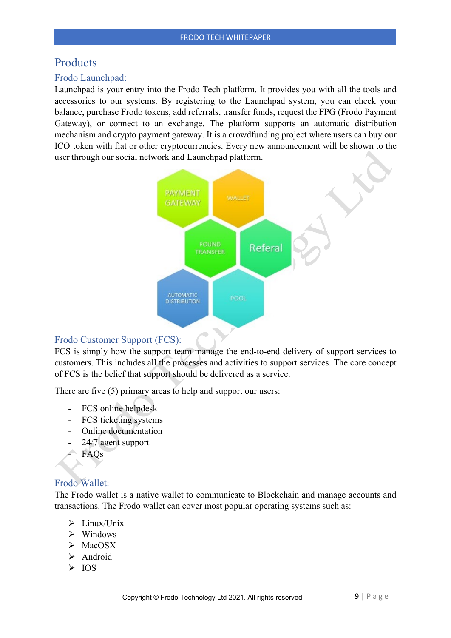## <span id="page-9-0"></span>**Products**

#### <span id="page-9-1"></span>Frodo Launchpad:

Launchpad is your entry into the Frodo Tech platform. It provides you with all the tools and accessories to our systems. By registering to the Launchpad system, you can check your balance, purchase Frodo tokens, add referrals, transfer funds, request the FPG (Frodo Payment Gateway), or connect to an exchange. The platform supports an automatic distribution mechanism and crypto payment gateway. It is a crowdfunding project where users can buy our ICO token with fiat or other cryptocurrencies. Every new announcement will be shown to the user through our social network and Launchpad platform.



#### <span id="page-9-2"></span>Frodo Customer Support (FCS):

FCS is simply how the support team manage the end-to-end delivery of support services to customers. This includes all the processes and activities to support services. The core concept of FCS is the belief that support should be delivered as a service.

There are five (5) primary areas to help and support our users:

- FCS online helpdesk
- FCS ticketing systems
- Online documentation
- 24/7 agent support
- FAQs

#### <span id="page-9-3"></span>Frodo Wallet:

The Frodo wallet is a native wallet to communicate to Blockchain and manage accounts and transactions. The Frodo wallet can cover most popular operating systems such as:

- $\sum$  Linux/Unix
- $\triangleright$  Windows
- > MacOSX
- > Android
- $\triangleright$  IOS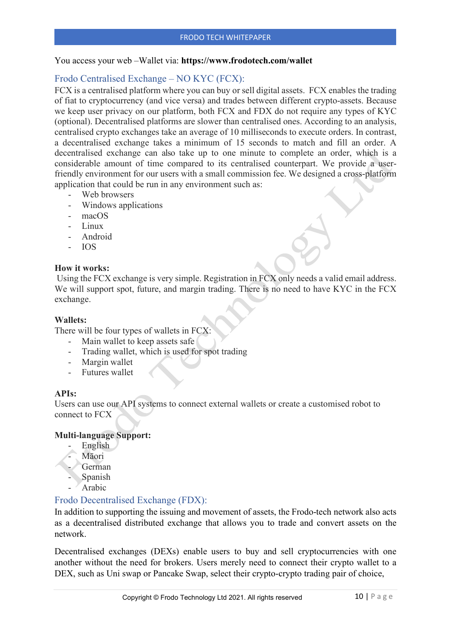#### You access your web –Wallet via: **https[://www.frodotech.com/wallet](http://www.frodotech.com/wallet)**

#### <span id="page-10-0"></span>Frodo Centralised Exchange – NO KYC (FCX):

FCX is a centralised platform where you can buy or sell digital assets. FCX enables the trading of fiat to cryptocurrency (and vice versa) and trades between different crypto-assets. Because we keep user privacy on our platform, both FCX and FDX do not require any types of KYC (optional). Decentralised platforms are slower than centralised ones. According to an analysis, centralised crypto exchanges take an average of 10 milliseconds to execute orders. In contrast, a decentralised exchange takes a minimum of 15 seconds to match and fill an order. A decentralised exchange can also take up to one minute to complete an order, which is a considerable amount of time compared to its centralised counterpart. We provide a userfriendly environment for our users with a small commission fee. We designed a cross-platform application that could be run in any environment such as:

- Web browsers
- Windows applications
- macOS
- Linux
- Android
- IOS

#### <span id="page-10-1"></span>**How it works:**

Using the FCX exchange is very simple. Registration in FCX only needs a valid email address. We will support spot, future, and margin trading. There is no need to have KYC in the FCX exchange.

#### <span id="page-10-2"></span>**Wallets:**

There will be four types of wallets in FCX:

- Main wallet to keep assets safe
- Trading wallet, which is used for spot trading
- Margin wallet
- Futures wallet

#### <span id="page-10-3"></span>**APIs:**

Users can use our API systems to connect external wallets or create a customised robot to connect to FCX

#### <span id="page-10-4"></span>**Multi-language Support:**

- **English**
- **M**aori
- **German**
- Spanish
- Arabic

#### <span id="page-10-5"></span>Frodo Decentralised Exchange (FDX):

In addition to supporting the issuing and movement of assets, the Frodo-tech network also acts as a decentralised distributed exchange that allows you to trade and convert assets on the network.

Decentralised exchanges (DEXs) enable users to buy and sell cryptocurrencies with one another without the need for brokers. Users merely need to connect their crypto wallet to a DEX, such as Uni swap or Pancake Swap, select their crypto-crypto trading pair of choice,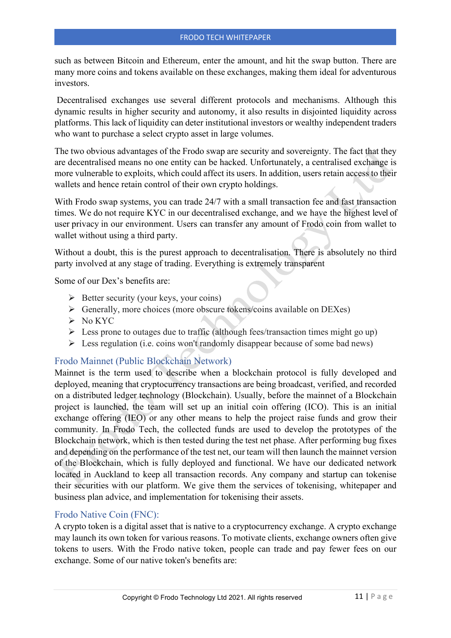such as between Bitcoin and Ethereum, enter the amount, and hit the swap button. There are many more coins and tokens available on these exchanges, making them ideal for adventurous investors.

Decentralised exchanges use several different protocols and mechanisms. Although this dynamic results in higher security and autonomy, it also results in disjointed liquidity across platforms. This lack of liquidity can deter institutional investors or wealthy independent traders who want to purchase a select crypto asset in large volumes.

The two obvious advantages of the Frodo swap are security and sovereignty. The fact that they are decentralised means no one entity can be hacked. Unfortunately, a centralised exchange is more vulnerable to exploits, which could affect its users. In addition, users retain access to their wallets and hence retain control of their own crypto holdings.

With Frodo swap systems, you can trade 24/7 with a small transaction fee and fast transaction times. We do not require KYC in our decentralised exchange, and we have the highest level of user privacy in our environment. Users can transfer any amount of Frodo coin from wallet to wallet without using a third party.

Without a doubt, this is the purest approach to decentralisation. There is absolutely no third party involved at any stage of trading. Everything is extremely transparent

Some of our Dex's benefits are:

- $\triangleright$  Better security (your keys, your coins)
- $\triangleright$  Generally, more choices (more obscure tokens/coins available on DEXes)
- $\triangleright$  No KYC
- $\triangleright$  Less prone to outages due to traffic (although fees/transaction times might go up)
- $\triangleright$  Less regulation (i.e. coins won't randomly disappear because of some bad news)

#### <span id="page-11-0"></span>Frodo Mainnet (Public Blockchain Network)

Mainnet is the term used to describe when a blockchain protocol is fully developed and deployed, meaning th[at cryptocurrency](https://academy.binance.com/en/articles/what-is-cryptocurrency) transactions are being broadcast, verified, and recorded on a distributed ledger technology (Blockchain). Usually, before the mainnet of a Blockchain project is launched, the team will set up an initial coin offering (ICO). This is an initial exchange offering (IEO) or any other means to help the project raise funds and grow their community. In Frodo Tech, the collected funds are used to develop the prototypes of the Blockchain network, which is then tested during the test net phase. After performing bug fixes and depending on the performance of the test net, our team will then launch the mainnet version of the Blockchain, which is fully deployed and functional. We have our dedicated network located in Auckland to keep all transaction records. Any company and startup can tokenise their securities with our platform. We give them the services of tokenising, whitepaper and business plan advice, and implementation for tokenising their assets.

#### <span id="page-11-1"></span>Frodo Native Coin (FNC):

A crypto token is a digital asset that is native to a cryptocurrency exchange. A crypto exchange may launch its own token for various reasons. To motivate clients, exchange owners often give tokens to users. With the Frodo native token, people can trade and pay fewer fees on our exchange. Some of our native token's benefits are: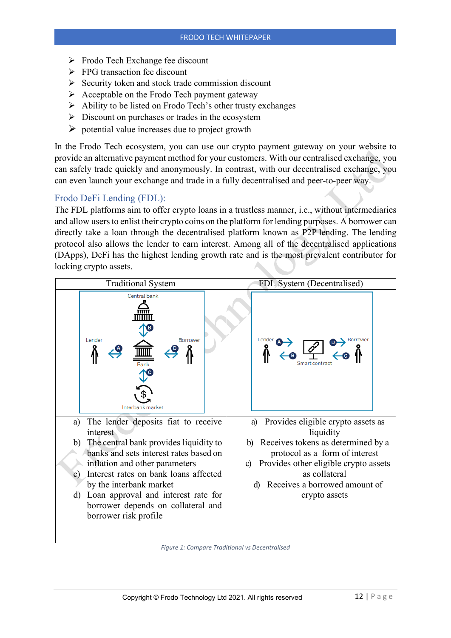- $\triangleright$  Frodo Tech Exchange fee discount
- $\triangleright$  FPG transaction fee discount
- $\triangleright$  Security token and stock trade commission discount
- $\triangleright$  Acceptable on the Frodo Tech payment gateway
- $\triangleright$  Ability to be listed on Frodo Tech's other trusty exchanges
- $\triangleright$  Discount on purchases or trades in the ecosystem
- $\triangleright$  potential value increases due to project growth

In the Frodo Tech ecosystem, you can use our crypto payment gateway on your website to provide an alternative payment method for your customers. With our centralised exchange, you can safely trade quickly and anonymously. In contrast, with our decentralised exchange, you can even launch your exchange and trade in a fully decentralised and peer-to-peer way.

#### <span id="page-12-0"></span>Frodo DeFi Lending (FDL):

The FDL platforms aim to offer crypto loans in a trustless manner, i.e., without intermediaries and allow usersto enlist their crypto coins on the platform for lending purposes. A borrower can directly take a loan through the decentralised platform known as P2P lending. The lending protocol also allows the lender to earn interest. Among all of the decentralised applications (DApps), DeFi has the highest lending growth rate and is the most prevalent contributor for locking crypto assets.



<span id="page-12-1"></span>*Figure 1: Compare Traditional vs Decentralised*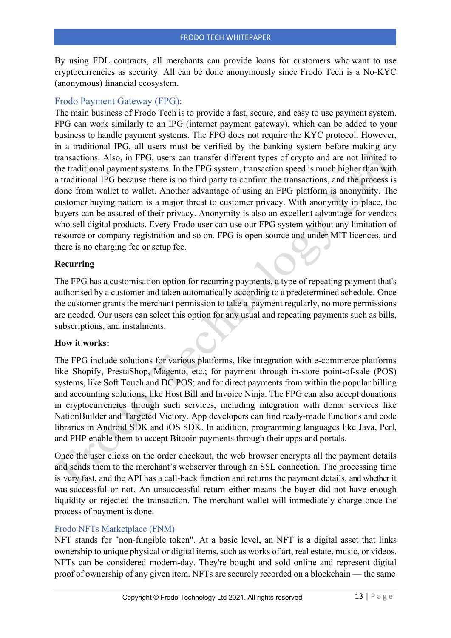By using FDL contracts, all merchants can provide loans for customers who want to use cryptocurrencies as security. All can be done anonymously since Frodo Tech is a No-KYC (anonymous) financial ecosystem.

#### <span id="page-13-0"></span>Frodo Payment Gateway (FPG):

The main business of Frodo Tech is to provide a fast, secure, and easy to use payment system. FPG can work similarly to an IPG (internet payment gateway), which can be added to your business to handle payment systems. The FPG does not require the KYC protocol. However, in a traditional IPG, all users must be verified by the banking system before making any transactions. Also, in FPG, users can transfer different types of crypto and are not limited to the traditional payment systems. In the FPG system, transaction speed is much higher than with a traditional IPG because there is no third party to confirm the transactions, and the process is done from wallet to wallet. Another advantage of using an FPG platform is anonymity. The customer buying pattern is a major threat to customer privacy. With anonymity in place, the buyers can be assured of their privacy. Anonymity is also an excellent advantage for vendors who sell digital products. Every Frodo user can use our FPG system without any limitation of resource or company registration and so on. FPG is open-source and under MIT licences, and there is no charging fee or setup fee.

#### <span id="page-13-1"></span>**Recurring**

The FPG has a customisation option for recurring payments, a type of repeating payment that's authorised by a customer and taken automatically according to a predetermined schedule. Once the customer grants the merchant permission to take a payment regularly, no more permissions are needed. Our users can select this option for any usual and repeating payments such as bills, subscriptions, and instalments.

#### <span id="page-13-2"></span>**How it works:**

The FPG include solutions for various platforms, like integration with e-commerce platforms like Shopify, PrestaShop, Magento, etc.; for payment through in-store [point-of-sale](https://www.investopedia.com/terms/p/point-of-sale.asp) (POS) systems, like Soft Touch and DC POS; and for direct payments from within the popular billing and accounting solutions, like Host Bill and Invoice Ninja. The FPG can also accept donations in cryptocurrencies through such services, including integration with donor services like NationBuilder and Targeted Victory. App developers can find ready-made functions and code libraries in Android SDK and iOS SDK. In addition, programming languages like Java, Perl, and PHP enable them to accept Bitcoin payments through their apps and portals.

Once the user clicks on the order checkout, the web browser encrypts all the payment details and sends them to the merchant's webserver through an SSL connection. The processing time is very fast, and the API has a call-back function and returns the payment details, and whether it was successful or not. An unsuccessful return either means the buyer did not have enough liquidity or rejected the transaction. The merchant wallet will immediately charge once the process of payment is done.

#### Frodo NFTs Marketplace (FNM)

NFT stands for "non-fungible token". At a basic level, an NFT is a digital asset that links ownership to unique physical or digital items, such as works of art, real estate, music, or videos. NFTs can be considered modern-day. They're bought and sold online and represent digital proof of ownership of any given item. NFTs are securely recorded on a blockchain — the same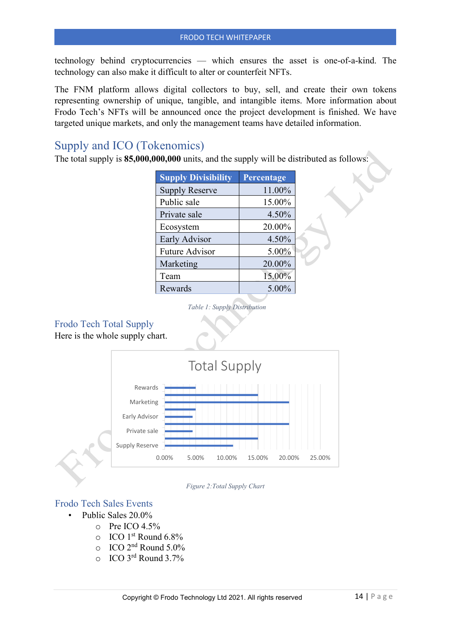technology behind cryptocurrencies — which ensures the asset is one-of-a-kind. The technology can also make it difficult to alter or counterfeit NFTs.

The FNM platform allows digital collectors to buy, sell, and create their own tokens representing ownership of unique, tangible, and intangible items. More information about Frodo Tech's NFTs will be announced once the project development is finished. We have targeted unique markets, and only the management teams have detailed information.

## <span id="page-14-0"></span>Supply and ICO (Tokenomics)

The total supply is **85,000,000,000** units, and the supply will be distributed as follows:

| <b>Supply Divisibility</b> | Percentage |
|----------------------------|------------|
| <b>Supply Reserve</b>      | 11.00%     |
| Public sale                | 15.00%     |
| Private sale               | 4.50%      |
| Ecosystem                  | 20.00%     |
| Early Advisor              | 4.50%      |
| <b>Future Advisor</b>      | 5.00%      |
| Marketing                  | 20.00%     |
| Team                       | 15.00%     |
| Rewards                    | 5.00%      |

*Table 1: Supply Distribution*

#### <span id="page-14-1"></span>Frodo Tech Total Supply

Here is the whole supply chart.





#### <span id="page-14-2"></span>Frodo Tech Sales Events

- Public Sales 20.0%
	-
	- $\circ$  Pre ICO 4.5%<br>  $\circ$  ICO 1<sup>st</sup> Round ICO  $1<sup>st</sup>$  Round 6.8%
	- o ICO 2nd Round 5.0%
	- o ICO 3rd Round 3.7%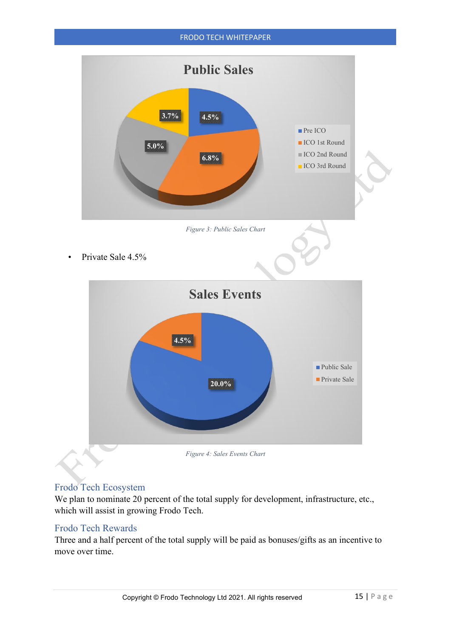

<span id="page-15-2"></span>Private Sale 4.5%



#### <span id="page-15-3"></span><span id="page-15-0"></span>Frodo Tech Ecosystem

We plan to nominate 20 percent of the total supply for development, infrastructure, etc., which will assist in growing Frodo Tech.

#### <span id="page-15-1"></span>Frodo Tech Rewards

Three and a half percent of the total supply will be paid as bonuses/gifts as an incentive to move over time.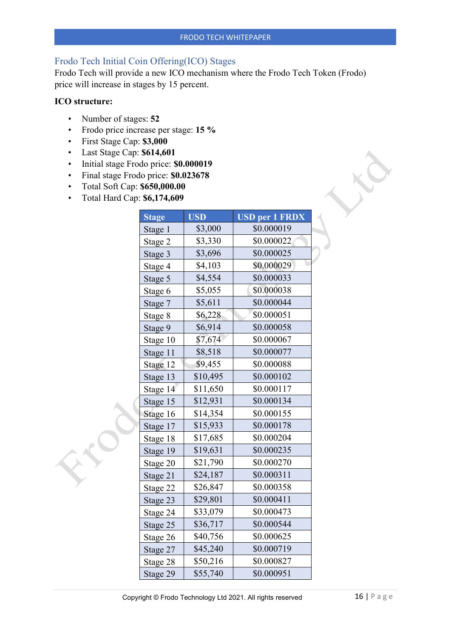#### <span id="page-16-0"></span>Frodo Tech Initial Coin Offering(ICO) Stages

Frodo Tech will provide a new ICO mechanism where the Frodo Tech Token (Frodo) price will increase in stages by 15 percent.

#### <span id="page-16-1"></span>**ICO structure:**

- Number of stages: **52**
- Frodo price increase per stage: **15 %**
- First Stage Cap: **\$3,000**
- Last Stage Cap: **\$614,601**
- Initial stage Frodo price: **\$0.000019**
- Final stage Frodo price: **\$0.023678**
- Total Soft Cap: **\$650,000.00**
- Total Hard Cap: **\$6,174,609**

|  | <b>Stage</b> | <b>USD</b> | <b>USD</b> per 1 FRDX |
|--|--------------|------------|-----------------------|
|  | Stage 1      | \$3,000    | \$0.000019            |
|  | Stage 2      | \$3,330    | \$0.000022            |
|  | Stage 3      | \$3,696    | \$0.000025            |
|  | Stage 4      | \$4,103    | \$0.000029            |
|  | Stage 5      | \$4,554    | \$0.000033            |
|  | Stage 6      | \$5,055    | \$0.000038            |
|  | Stage 7      | \$5,611    | \$0.000044            |
|  | Stage 8      | \$6,228    | \$0.000051            |
|  | Stage 9      | \$6,914    | \$0.000058            |
|  | Stage 10     | \$7,674    | \$0.000067            |
|  | Stage 11     | \$8,518    | \$0.000077            |
|  | Stage 12     | \$9,455    | \$0.000088            |
|  | Stage 13     | \$10,495   | \$0.000102            |
|  | Stage 14     | \$11,650   | \$0.000117            |
|  | Stage 15     | \$12,931   | \$0.000134            |
|  | Stage 16     | \$14,354   | \$0.000155            |
|  | Stage 17     | \$15,933   | \$0.000178            |
|  | Stage 18     | \$17,685   | \$0.000204            |
|  | Stage 19     | \$19,631   | \$0.000235            |
|  | Stage 20     | \$21,790   | \$0.000270            |
|  | Stage 21     | \$24,187   | \$0.000311            |
|  | Stage 22     | \$26,847   | \$0.000358            |
|  | Stage 23     | \$29,801   | \$0.000411            |
|  | Stage 24     | \$33,079   | \$0.000473            |
|  | Stage 25     | \$36,717   | \$0.000544            |
|  | Stage 26     | \$40,756   | \$0.000625            |
|  | Stage 27     | \$45,240   | \$0.000719            |
|  | Stage 28     | \$50,216   | \$0.000827            |
|  | Stage 29     | \$55,740   | \$0.000951            |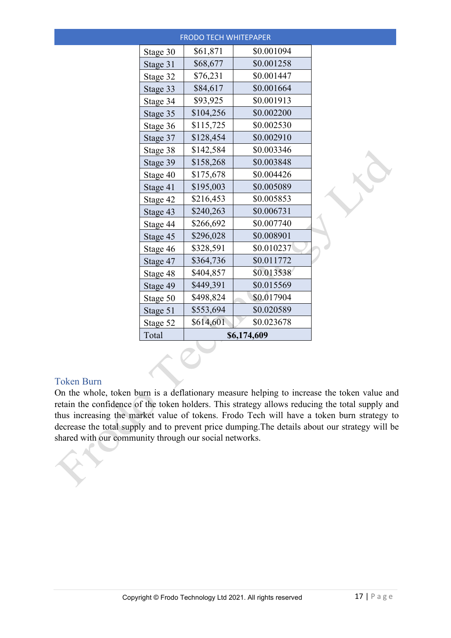|          | <b>FRODO TECH WHITEPAPER</b> |             |
|----------|------------------------------|-------------|
| Stage 30 | \$61,871                     | \$0.001094  |
| Stage 31 | \$68,677                     | \$0.001258  |
| Stage 32 | \$76,231                     | \$0.001447  |
| Stage 33 | \$84,617                     | \$0.001664  |
| Stage 34 | \$93,925                     | \$0.001913  |
| Stage 35 | \$104,256                    | \$0.002200  |
| Stage 36 | \$115,725                    | \$0.002530  |
| Stage 37 | \$128,454                    | \$0.002910  |
| Stage 38 | \$142,584                    | \$0.003346  |
| Stage 39 | \$158,268                    | \$0.003848  |
| Stage 40 | \$175,678                    | \$0.004426  |
| Stage 41 | \$195,003                    | \$0.005089  |
| Stage 42 | \$216,453                    | \$0.005853  |
| Stage 43 | \$240,263                    | \$0.006731  |
| Stage 44 | \$266,692                    | \$0.007740  |
| Stage 45 | \$296,028                    | \$0.008901  |
| Stage 46 | \$328,591                    | \$0.010237  |
| Stage 47 | \$364,736                    | \$0.011772  |
| Stage 48 | \$404,857                    | \$0.013538  |
| Stage 49 | \$449,391                    | \$0.015569  |
| Stage 50 | \$498,824                    | \$0.017904  |
| Stage 51 | \$553,694                    | \$0.020589  |
| Stage 52 | \$614,601                    | \$0.023678  |
| Total    |                              | \$6,174,609 |

#### <span id="page-17-0"></span>Token Burn

On the whole, token burn is a deflationary measure helping to increase the token value and retain the confidence of the token holders. This strategy allows reducing the total supply and thus increasing the market value of tokens. Frodo Tech will have a token burn strategy to decrease the total supply and to prevent price dumping.The details about our strategy will be shared with our community through our social networks.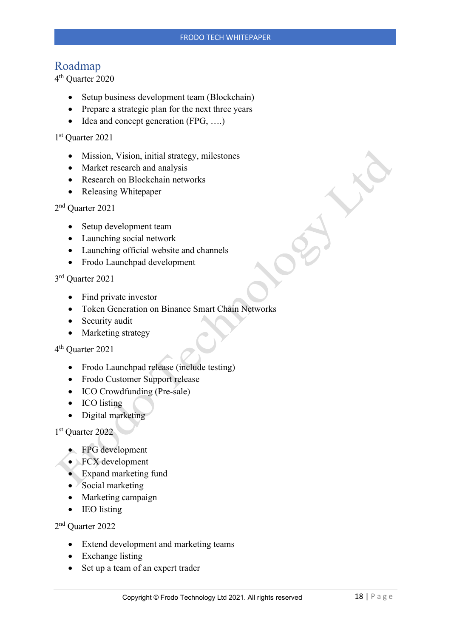## <span id="page-18-0"></span>Roadmap

4th Quarter 2020

- Setup business development team (Blockchain)
- Prepare a strategic plan for the next three years
- Idea and concept generation (FPG, ....)

#### 1st Quarter 2021

- Mission, Vision, initial strategy, milestones
- Market research and analysis
- Research on Blockchain networks
- Releasing Whitepaper

#### 2nd Quarter 2021

- Setup development team
- Launching social network
- Launching official website and channels
- Frodo Launchpad development

3rd Quarter 2021

- Find private investor
- Token Generation on Binance Smart Chain Networks
- Security audit
- Marketing strategy

4th Quarter 2021

- Frodo Launchpad release (include testing)
- Frodo Customer Support release
- ICO Crowdfunding (Pre-sale)
- ICO listing
- Digital marketing

1<sup>st</sup> Ouarter 2022

- FPG development
- FCX development
- Expand marketing fund
- Social marketing
- Marketing campaign
- IEO listing

2nd Quarter 2022

- Extend development and marketing teams
- Exchange listing
- Set up a team of an expert trader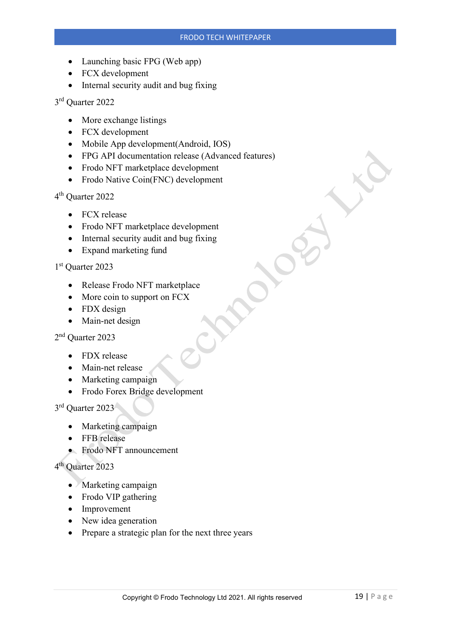- Launching basic FPG (Web app)
- FCX development
- Internal security audit and bug fixing

3rd Quarter 2022

- More exchange listings
- FCX development
- Mobile App development(Android, IOS)
- FPG API documentation release (Advanced features)
- Frodo NFT marketplace development
- Frodo Native Coin(FNC) development

4th Quarter 2022

- FCX release
- Frodo NFT marketplace development
- Internal security audit and bug fixing
- Expand marketing fund

1<sup>st</sup> Ouarter 2023

- Release Frodo NFT marketplace
- More coin to support on FCX
- FDX design
- Main-net design

2nd Quarter 2023

- FDX release
- Main-net release
- Marketing campaign
- Frodo Forex Bridge development

3rd Quarter 2023

- Marketing campaign
- FFB release
- Frodo NFT announcement

#### 4th Quarter 2023

- Marketing campaign
- Frodo VIP gathering
- Improvement
- New idea generation
- Prepare a strategic plan for the next three years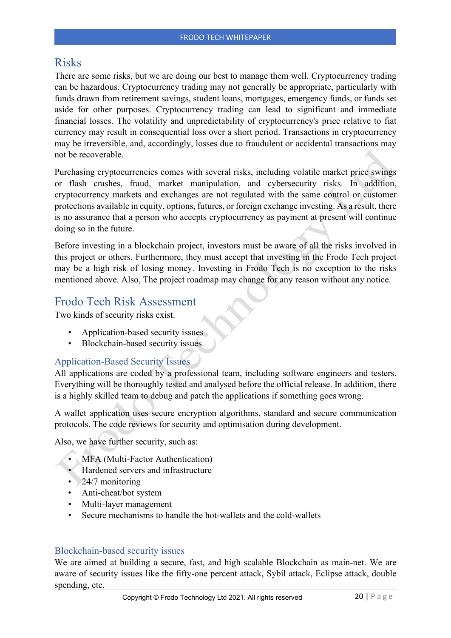#### <span id="page-20-0"></span>Risks

There are some risks, but we are doing our best to manage them well. Cryptocurrency trading can be hazardous. Cryptocurrency trading may not generally be appropriate, particularly with funds drawn from retirement savings, student loans, mortgages, emergency funds, or funds set aside for other purposes. Cryptocurrency trading can lead to significant and immediate financial losses. The volatility and unpredictability of cryptocurrency's price relative to fiat currency may result in consequential loss over a short period. Transactions in cryptocurrency may be irreversible, and, accordingly, losses due to fraudulent or accidental transactions may not be recoverable.

Purchasing cryptocurrencies comes with several risks, including volatile market price swings or flash crashes, fraud, market manipulation, and cybersecurity risks. In addition, cryptocurrency markets and exchanges are not regulated with the same control or customer protections available in equity, options, futures, or foreign exchange investing. As a result, there is no assurance that a person who accepts cryptocurrency as payment at present will continue doing so in the future.

Before investing in a blockchain project, investors must be aware of all the risks involved in this project or others. Furthermore, they must accept that investing in the Frodo Tech project may be a high risk of losing money. Investing in Frodo Tech is no exception to the risks mentioned above. Also, The project roadmap may change for any reason without any notice.

## <span id="page-20-1"></span>Frodo Tech Risk Assessment

Two kinds of security risks exist.

- Application-based security issues
- Blockchain-based security issues

#### <span id="page-20-2"></span>Application-Based Security Issues

All applications are coded by a professional team, including software engineers and testers. Everything will be thoroughly tested and analysed before the official release. In addition, there is a highly skilled team to debug and patch the applications if something goes wrong.

A wallet application uses secure encryption algorithms, standard and secure communication protocols. The code reviews for security and optimisation during development.

Also, we have further security, such as:

- MFA (Multi-Factor Authentication)
- Hardened servers and infrastructure
- 24/7 monitoring
- Anti-cheat/bot system
- Multi-layer management
- Secure mechanisms to handle the hot-wallets and the cold-wallets

#### <span id="page-20-3"></span>Blockchain-based security issues

We are aimed at building a secure, fast, and high scalable Blockchain as main-net. We are aware of security issues like the fifty-one percent attack, Sybil attack, Eclipse attack, double spending, etc.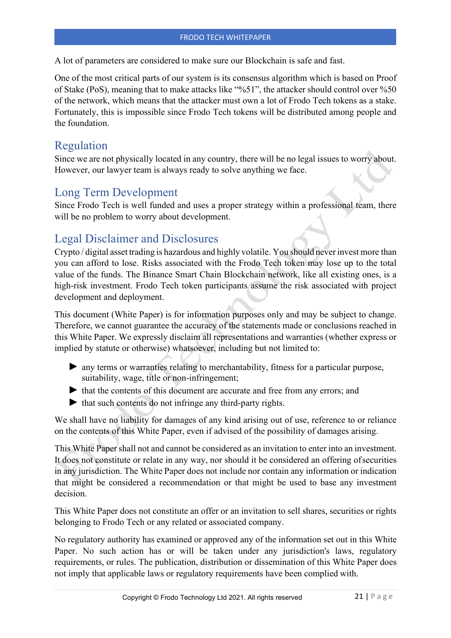A lot of parameters are considered to make sure our Blockchain is safe and fast.

One of the most critical parts of our system is its consensus algorithm which is based on Proof of Stake (PoS), meaning that to make attacks like "%51", the attacker should control over %50 of the network, which means that the attacker must own a lot of Frodo Tech tokens as a stake. Fortunately, this is impossible since Frodo Tech tokens will be distributed among people and the foundation.

## <span id="page-21-0"></span>Regulation

Since we are not physically located in any country, there will be no legal issues to worry about. However, our lawyer team is always ready to solve anything we face.

## <span id="page-21-1"></span>Long Term Development

Since Frodo Tech is well funded and uses a proper strategy within a professional team, there will be no problem to worry about development.

## <span id="page-21-2"></span>Legal Disclaimer and Disclosures

Crypto / digital asset trading is hazardous and highly volatile. You should neverinvest more than you can afford to lose. Risks associated with the Frodo Tech token may lose up to the total value of the funds. The Binance Smart Chain Blockchain network, like all existing ones, is a high-risk investment. Frodo Tech token participants assume the risk associated with project development and deployment.

This document (White Paper) is for information purposes only and may be subject to change. Therefore, we cannot guarantee the accuracy of the statements made or conclusions reached in this White Paper. We expressly disclaim all representations and warranties (whether express or implied by statute or otherwise) whatsoever, including but not limited to:

- ► any terms or warranties relating to merchantability, fitness for a particular purpose, suitability, wage, title or non-infringement;
- ► that the contents of this document are accurate and free from any errors; and
- $\blacktriangleright$  that such contents do not infringe any third-party rights.

We shall have no liability for damages of any kind arising out of use, reference to or reliance on the contents of this White Paper, even if advised of the possibility of damages arising.

This White Paper shall not and cannot be considered as an invitation to enter into an investment. It does not constitute or relate in any way, nor should it be considered an offering ofsecurities in any jurisdiction. The White Paper does not include nor contain any information or indication that might be considered a recommendation or that might be used to base any investment decision.

This White Paper does not constitute an offer or an invitation to sell shares, securities or rights belonging to Frodo Tech or any related or associated company.

No regulatory authority has examined or approved any of the information set out in this White Paper. No such action has or will be taken under any jurisdiction's laws, regulatory requirements, or rules. The publication, distribution or dissemination of this White Paper does not imply that applicable laws or regulatory requirements have been complied with.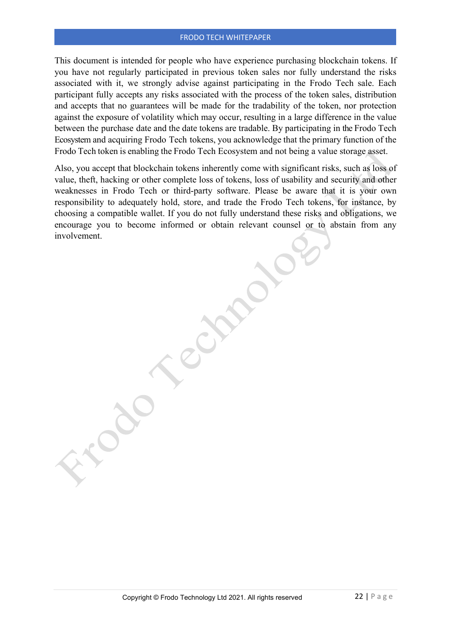This document is intended for people who have experience purchasing blockchain tokens. If you have not regularly participated in previous token sales nor fully understand the risks associated with it, we strongly advise against participating in the Frodo Tech sale. Each participant fully accepts any risks associated with the process of the token sales, distribution and accepts that no guarantees will be made for the tradability of the token, nor protection against the exposure of volatility which may occur, resulting in a large difference in the value between the purchase date and the date tokens are tradable. By participating in the Frodo Tech Ecosystem and acquiring Frodo Tech tokens, you acknowledge that the primary function of the Frodo Tech token is enabling the Frodo Tech Ecosystem and not being a value storage asset.

Also, you accept that blockchain tokens inherently come with significant risks, such as loss of value, theft, hacking or other complete loss of tokens, loss of usability and security and other weaknesses in Frodo Tech or third-party software. Please be aware that it is your own responsibility to adequately hold, store, and trade the Frodo Tech tokens, for instance, by choosing a compatible wallet. If you do not fully understand these risks and obligations, we encourage you to become informed or obtain relevant counsel or to abstain from any involvement.